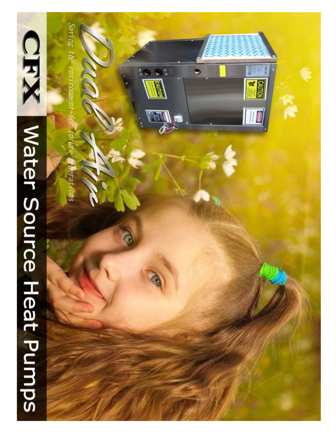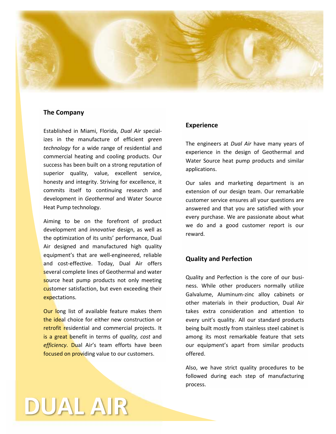

#### **The Company**

Established in Miami, Florida, *Dual Air* specializes in the manufacture of efficient *green technology* for a wide range of residential and commercial heating and cooling products. Our success has been built on a strong reputation of superior quality, value, excellent service, honesty and integrity. Striving for excellence, it commits itself to continuing research and development in *Geothermal* and Water Source Heat Pump technology.

Aiming to be on the forefront of product development and *innovative* design, as well as the optimization of its units' performance, Dual Air designed and manufactured high quality equipment's that are well-engineered, reliable and cost-effective. Today, Dual Air offers several complete lines of Geothermal and water source heat pump products not only meeting customer satisfaction, but even exceeding their expectations.

Our long list of available feature makes them the ideal choice for either new construction or retrofit residential and commercial projects. It is a great benefit in terms of *quality, cost* and *efficiency*. Dual Air's team efforts have been focused on providing value to our customers.

**DUAL AIR**

#### **Experience**

The engineers at *Dual Air* have many years of experience in the design of Geothermal and Water Source heat pump products and similar applications.

Our sales and marketing department is an extension of our design team. Our remarkable customer service ensures all your questions are answered and that you are satisfied with your every purchase. We are passionate about what we do and a good customer report is our reward.

#### **Quality and Perfection**

Quality and Perfection is the core of our busi ness. While other producers normally utilize Galvalume, Aluminum-zinc alloy cabinets or other materials in their production, Dual Air takes extra consideration and attention to every unit's quality. All our standard products being built mostly from stainless steel cabinet is among its most remarkable feature that sets our equipment's apart from similar products offered.

Also, we have strict quality procedures to be followed during each step of manufacturing process.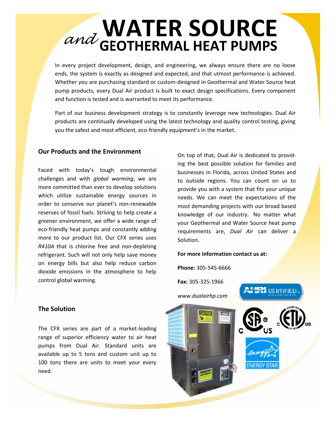## WATER SOURCE **GEOTHERMAL HEAT PUMPS** *and*

In every project development, design, and engineering, we always ensure there are no loose ends, the system is exactly as designed and expected, and that utmost performance is achieved. Whether you are purchasing standard or custom-designed in Geothermal and Water Source heat pump products, every Dual Air product is built to exact design specifications. Every component and function is tested and is warranted to meet its performance.

Part of our business development strategy is to constantly *leverage* new technologies. Dual Air products are continually developed using the latest technology and quality control testing, giving you the safest and most efficient, eco-friendly equipment's in the market.

#### **Our Products and the Environment**

Faced with today's tough environmental challenges and with *global warming*, we are more committed than ever to develop solutions which utilize sustainable energy sources in order to conserve our planet's non-renewable reserves of fossil fuels. Striving to help create a greener environment, we offer a wide range of eco-friendly heat pumps and constantly adding more to our product list. Our CFX series uses *R410A* that is chlorine free and non-depleting refrigerant. Such will not only help save money on energy bills but also help reduce carbon dioxide emissions in the atmosphere to help control global warming.

On top of that, Dual Air is dedicated to providing the best possible solution for families and businesses in Florida, across United States and to outside regions. You can count on us to provide you with a system that fits your unique needs. We can meet the expectations of the most demanding projects with our broad based knowledge of our industry. No matter what your Geothermal and Water Source heat pump requirements are, *Dual Air* can deliver a Solution.

#### **For more information contact us at:**

**Phone:** 305-545-6666

**Fax:** 305-325-1966



The CFX series are part of a market-leading range of superior efficiency water to air heat pumps from Dual Air. Standard units are available up to 5 tons and custom unit up to 100 tons there are units to meet your every need.